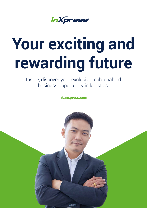*InXpress®* 

# **Your exciting and rewarding future**

Inside, discover your exclusive tech-enabled business opportunity in logistics.

**hk.inxpress.com**

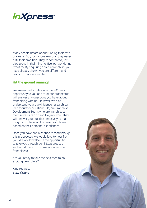

Many people dream about running their own business. But, for various reasons, they never fulfil their ambition. They're content to just plod along in their nine-to-five job, wondering 'what if'? By enquiring about a franchise, you have already shown you are different and ready to change your life.

#### **Hit the ground running!**

We are excited to introduce the InXpress opportunity to you and trust our prospectus will answer any questions you have about franchising with us. However, we also understand your due diligence research can lead to further questions. So, our Franchise Development Team, who are franchisees themselves, are on hand to guide you. They will answer your queries and give you real insight into life as an InXpress franchisee, based on their personal experiences.

Once you have had a chance to read through this prospectus, we would love to hear from you. We would welcome the opportunity to take you through our 8 Step process and introduce you to some of our existing franchisees.

Are you ready to take the next step to an exciting new future?

Kind regards, Sam Orders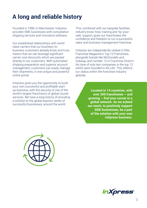## **A long and reliable history**

Founded in 1999, in Manchester, InXpress provides SME businesses with consultative shipping services and innovative software.

Our established relationships with world class carriers that our business-tobusiness customers already know and trust, means that we can leverage significant carrier cost discounts which are passed directly to our customers. With automated shipping preparation and superior account management, customers can easily manage their shipments, in one unique and powerful online portal.

InXpress gives you the opportunity to build your own successful and profitable startup business, with the security of one of the world's largest franchisors of global courier services. We have a long history of providing a solution to the global express needs of successful businesses, around the world.

This, combined with our bespoke facilities, industry know-how, training and 'by-yourside' support, gives our franchisees the confidence and freedom to run a successful sales and business management franchise.

InXpress are independently ranked in Elite Franchise Magazine's Top 10 Franchises, alongside brands like McDonalds and Subway, and number 12 in Franchise Direct's list (one of only two companies in the top 12 which were founded in the UK). This reflects our status within the franchise industry globally.

> **Located in 14 countries, with over 350 franchisees – and growing – find your corner in a global network. As we extend our reach, to positively support SME businesses, be a part of the solution with your own InXpress business.**



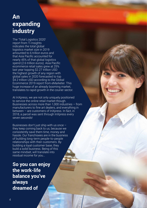## **An expanding industry**

The 'Total Logistics 2020' report from Ti Insights indicates the total global logistics market size in 2019 amounted to 6 trillion euros and that Asia Pacific accounted for nearly 45% of that global logistics spend (2.6 trillion euros). Asia Pacific ecommerce retail sales grew at 25% last year topping \$2.27 trillion USD the highest growth of any region with global sales in 2020 forecasted to top \$4.2 trillion USD according to the Global Ecommerce 2019 report from eMarketer. This huge increase of an already booming market, translates to rapid growth in the courier sector.

At InXpress, we are not only uniquely positioned to service the online retail market though. Businesses across more than 1,000 industries – from manufacturers to fine art dealers, and everything in between – are customers of InXpress. In fact, in 2018, a parcel was sent through InXpress every seven seconds!

Businesses don't just ship with us once – they keep coming back to us, because we consistently save them time, money and hassle. Our franchisees are in the business of building long-term people-to-people relationships with their customers. By building a loyal customer base, they build a solid business. Being of this same mindset, will translate into residual income for you…

**So you can enjoy the work-life balance you've always dreamed of**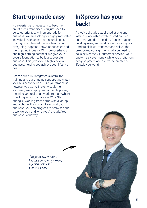## **Start-up made easy**

No experience is necessary to become an InXpress franchisee. You just need to be sales-oriented, with an aptitude for business. We are looking for highly motivated individuals with an entrepreneurial spirit. Our highly acclaimed trainers teach you everything InXpress knows about sales and the shipping industry! With low-overheads and high-earning potential, we give you a secure foundation to build a successful business. This gives you a highly flexible business, helping you achieve your lifestyle goals.

Access our fully-integrated system, the training and our ongoing support, and watch your business flourish. Build your franchise however you want. The only equipment you need, are a laptop and a mobile phone, meaning you really can work from anywhere – as long as you can access WiFi! Start out agile, working from home with a laptop and a phone. If you want to expand your business, you can progress to premises and a workforce if and when you're ready. Your business. Your way.

## **InXpress has your back!**

As we've already established strong and lasting relationships with trusted courier partners, you don't need to. Concentrate on building sales, and work towards your goals. Carriers pick-up, transport and deliver the pre-booked consignments. All you need to do is deliver the VIP customer service. Your customers save money, while you profit from every shipment and are free to create the lifestyle you want!

"InXpress offered me a low-risk entry into running my own business." Edmond Leung

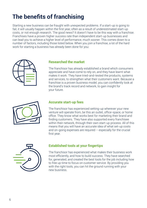## **The benefits of franchising**

Starting a new business can be fraught with unexpected problems. If a start-up is going to fail, it will usually happen within the first year, often as a result of underestimated start-up costs, or not enough research. The good news? It doesn't have to be this way with a franchise. Franchises have a proven higher success rate than independent start-up businesses and can lead you to achieve a higher level of performance, much sooner. This comes down to a number of factors, including those listed below. When you join a franchise, a lot of the hard work for starting a business has already been done for you:



#### **Researched the market**

The franchisor has already established a brand which consumers appreciate and have come to rely on, and they have learnt what makes it work. They have tried-and-tested the products, systems and services, to strengthen what their customers want. Because a franchise is a proven business model, you can confidently look at the brand's track record and network, to gain insight for your future.



#### **Accurate start-up fees**

The franchisor has experienced setting-up wherever your new venture will operate from, be this an outlet, office-space, or home office. They know what works best for marketing their brand and finding customers. They have also supported every franchisee within their network, through their own start-up process. All of this means that you will have an accurate idea of what set-up costs and on-going expenses are required – especially for the crucial first year.



#### **Established tools at your fingertips**

The franchisor has experienced what makes their business work most efficiently, and how to build success. They have searched for, generated, and created the best tools for the job including how to free up time to focus on customer service. By providing you with the right tools, you can hit the ground running with your new business.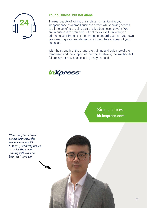

#### **Your business, but not alone**

The real beauty of joining a franchise, is maintaining your independence as a small business owner, whilst having access to all the benefits of being part of a big business network. You are in business for yourself, but not by yourself. Providing you adhere to your franchisor's operating standards, you are your own boss, making your own decisions for the future success of your business.

With the strength of the brand, the training and guidance of the franchisor, and the support of the whole network, the likelihood of failure in your new business, is greatly reduced.



### Sign up now **hk.inxpress.com**

"The tried, tested and proven business/sales model we have with InXpress, definitely helped us to hit the ground running with our new business". Eric Lin

7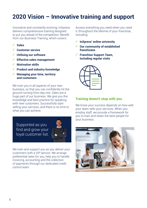## **2020 Vision – Innovative training and support**

Innovative and constantly evolving, InXpress delivers comprehensive training designed to put you ahead of the competition. Benefit from our Business Training, which covers:

- **✓ Sales**
- **✓ Customer service**
- **✓ Utilising our software**
- **✓ Effective sales management**
- **✓ Motivation skills**
- **✓ Product and industry knowledge**
- **✓ Managing your time, territory and customers**

We train you in all aspects of your new business, so that you can confidently hit the ground running from day one. Sales are a huge part of our business. We give you the knowledge and best practice for speaking with new customers. Successfully start selling your services, and there is no limit to what you can achieve.

Supported as you find and grow your loyal customer list.



We train and support you as you deliver your customers with a VIP service. We arrange preferential rates for you, help you to handle invoicing, accounting and the collection of payments through our dedicated credit control team.

Access everything you need when you need it, throughout the lifetime of your franchise, including:

- **✓ InXpress' online university**
- **✓ Our community of established franchisees**
- **✓ Franchise Support Team, including regular visits**



#### **Training doesn't stop with you**

We know your success depends on how well your team sells your services. When you employ staff, we provide a framework for you to train and retain the best people for your business.

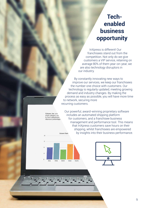## **Techenabled business opportunity**

InXpress is different! Our franchisees stand out from the competition. Not only do we give customers a VIP service, retaining on average 80% of them year-on-year, we are also technology disruptors in our industry.

By constantly innovating new ways to improve our services, we keep our franchisees the number one choice with customers. Our technology is regularly updated, meeting growing demand and industry changes. By making the process as easy as possible, you will have more time to network, securing more recurring customers.

Our powerful, award-winning proprietary software

management and performance tool. This means that InXpress customers save hours on their

includes an automated shipping platform for customers, and a franchisee business

Column, bar, and single category, suc.<br>by each salesperson. value as a percentage



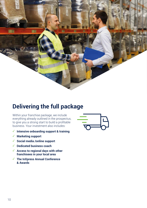

## **Delivering the full package**

Within your franchise package, we include everything already outlined in the prospectus, to give you a strong start to build a profitable business. Your investment also includes:

- **✓ Intensive onboarding support & training**
- **✓ Marketing support**
- **✓ Social media /online support**
- **✓ Dedicated business coach**
- **✓ Access to regional days with other franchisees in your local area**
- **✓ The InXpress Annual Conference & Awards**

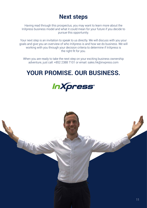## **Next steps**

Having read through this prospectus, you may want to learn more about the InXpress business model and what it could mean for your future if you decide to pursue this opportunity.

Your next step is an invitation to speak to us directly. We will discuss with you your goals and give you an overview of who InXpress is and how we do business. We will working with you through your decision criteria to determine if InXpress is the right fit for you.

When you are ready to take the next step on your exciting business ownership adventure, just call: +852 2388 7101 or email: sales.hk@inxpress.com

## **YOUR PROMISE. OUR BUSINESS.**